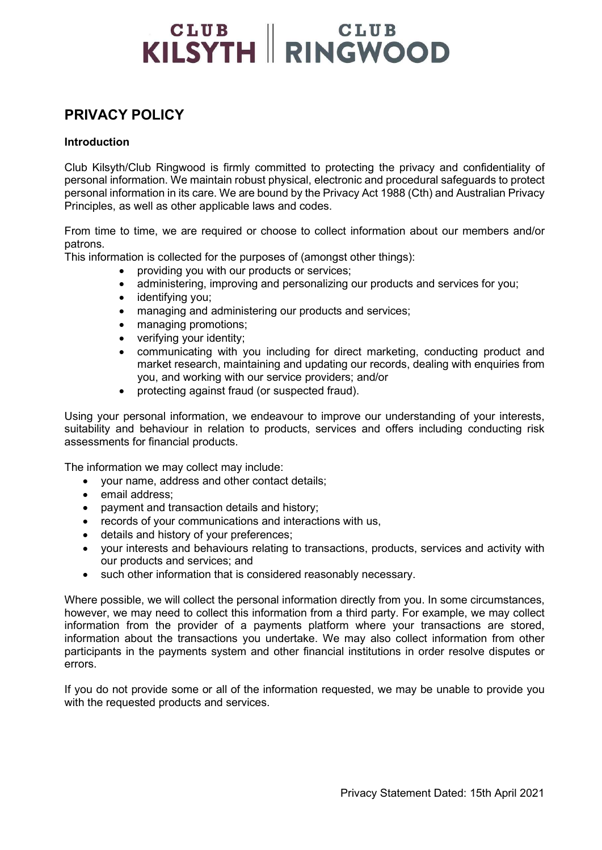# **CLUB** CLUB<br>KILSYTH RINGWOOD

### PRIVACY POLICY

#### **Introduction**

Club Kilsyth/Club Ringwood is firmly committed to protecting the privacy and confidentiality of personal information. We maintain robust physical, electronic and procedural safeguards to protect personal information in its care. We are bound by the Privacy Act 1988 (Cth) and Australian Privacy Principles, as well as other applicable laws and codes.

From time to time, we are required or choose to collect information about our members and/or patrons.

This information is collected for the purposes of (amongst other things):

- providing you with our products or services;
- administering, improving and personalizing our products and services for you;
- identifying you;
- managing and administering our products and services;
- managing promotions;
- verifying your identity;
- communicating with you including for direct marketing, conducting product and market research, maintaining and updating our records, dealing with enquiries from you, and working with our service providers; and/or
- protecting against fraud (or suspected fraud).

Using your personal information, we endeavour to improve our understanding of your interests, suitability and behaviour in relation to products, services and offers including conducting risk assessments for financial products.

The information we may collect may include:

- your name, address and other contact details;
- email address:
- payment and transaction details and history;
- records of your communications and interactions with us,
- details and history of your preferences;
- your interests and behaviours relating to transactions, products, services and activity with our products and services; and
- such other information that is considered reasonably necessary.

Where possible, we will collect the personal information directly from you. In some circumstances, however, we may need to collect this information from a third party. For example, we may collect information from the provider of a payments platform where your transactions are stored, information about the transactions you undertake. We may also collect information from other participants in the payments system and other financial institutions in order resolve disputes or errors.

If you do not provide some or all of the information requested, we may be unable to provide you with the requested products and services.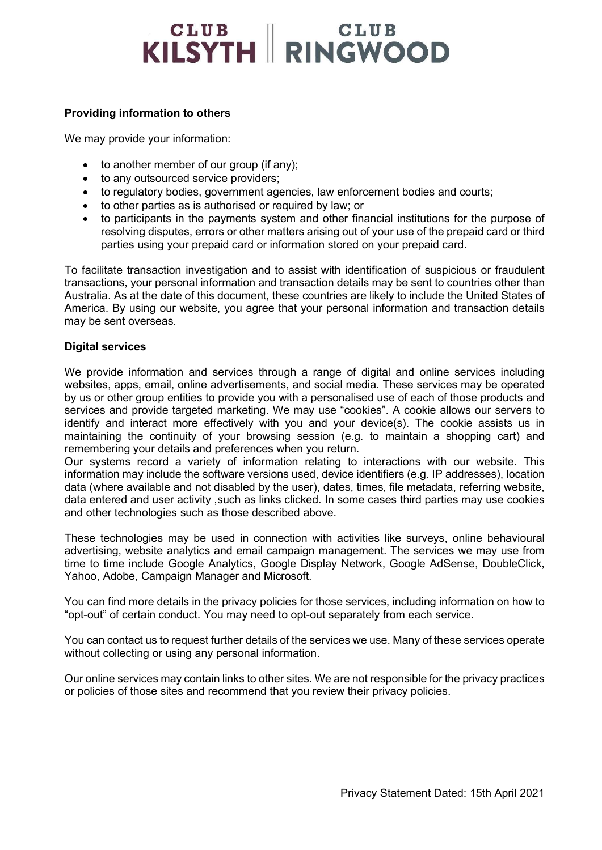# **CLUB** CLUB<br>KILSYTH RINGWOOD

#### Providing information to others

We may provide your information:

- to another member of our group (if any);
- to any outsourced service providers;
- to regulatory bodies, government agencies, law enforcement bodies and courts;
- to other parties as is authorised or required by law; or
- to participants in the payments system and other financial institutions for the purpose of resolving disputes, errors or other matters arising out of your use of the prepaid card or third parties using your prepaid card or information stored on your prepaid card.

To facilitate transaction investigation and to assist with identification of suspicious or fraudulent transactions, your personal information and transaction details may be sent to countries other than Australia. As at the date of this document, these countries are likely to include the United States of America. By using our website, you agree that your personal information and transaction details may be sent overseas.

#### Digital services

We provide information and services through a range of digital and online services including websites, apps, email, online advertisements, and social media. These services may be operated by us or other group entities to provide you with a personalised use of each of those products and services and provide targeted marketing. We may use "cookies". A cookie allows our servers to identify and interact more effectively with you and your device(s). The cookie assists us in maintaining the continuity of your browsing session (e.g. to maintain a shopping cart) and remembering your details and preferences when you return.

Our systems record a variety of information relating to interactions with our website. This information may include the software versions used, device identifiers (e.g. IP addresses), location data (where available and not disabled by the user), dates, times, file metadata, referring website, data entered and user activity , such as links clicked. In some cases third parties may use cookies and other technologies such as those described above.

These technologies may be used in connection with activities like surveys, online behavioural advertising, website analytics and email campaign management. The services we may use from time to time include Google Analytics, Google Display Network, Google AdSense, DoubleClick, Yahoo, Adobe, Campaign Manager and Microsoft.

You can find more details in the privacy policies for those services, including information on how to "opt-out" of certain conduct. You may need to opt-out separately from each service.

You can contact us to request further details of the services we use. Many of these services operate without collecting or using any personal information.

Our online services may contain links to other sites. We are not responsible for the privacy practices or policies of those sites and recommend that you review their privacy policies.